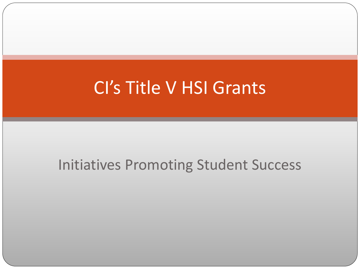## CI's Title V HSI Grants

### Initiatives Promoting Student Success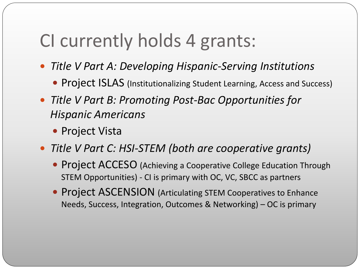## CI currently holds 4 grants:

- *Title V Part A: Developing Hispanic-Serving Institutions* 
	- Project ISLAS (Institutionalizing Student Learning, Access and Success)
- *Title V Part B: Promoting Post-Bac Opportunities for Hispanic Americans* 
	- Project Vista
- *Title V Part C: HSI-STEM (both are cooperative grants)*
	- Project ACCESO (Achieving a Cooperative College Education Through STEM Opportunities) - CI is primary with OC, VC, SBCC as partners
	- **Project ASCENSION** (Articulating STEM Cooperatives to Enhance Needs, Success, Integration, Outcomes & Networking) – OC is primary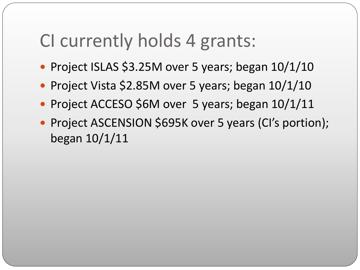## CI currently holds 4 grants:

- Project ISLAS \$3.25M over 5 years; began  $10/1/10$
- Project Vista \$2.85M over 5 years; began 10/1/10
- Project ACCESO \$6M over 5 years; began  $10/1/11$
- Project ASCENSION \$695K over 5 years (CI's portion); began 10/1/11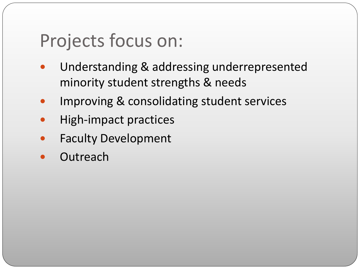## Projects focus on:

- Understanding & addressing underrepresented minority student strengths & needs
- Improving & consolidating student services
- High-impact practices
- Faculty Development
- **Outreach**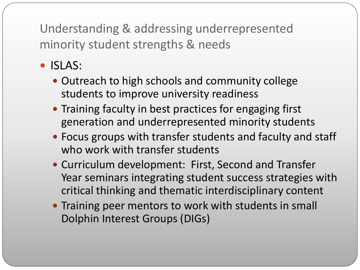- ISLAS:
	- Outreach to high schools and community college students to improve university readiness
	- Training faculty in best practices for engaging first generation and underrepresented minority students
	- Focus groups with transfer students and faculty and staff who work with transfer students
	- Curriculum development: First, Second and Transfer Year seminars integrating student success strategies with critical thinking and thematic interdisciplinary content
	- Training peer mentors to work with students in small Dolphin Interest Groups (DIGs)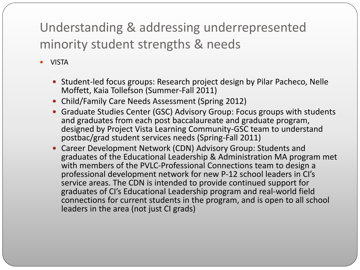VISTA

- Student-led focus groups: Research project design by Pilar Pacheco, Nelle Moffett, Kaia Tollefson (Summer-Fall 2011)
- Child/Family Care Needs Assessment (Spring 2012)
- Graduate Studies Center (GSC) Advisory Group: Focus groups with students and graduates from each post baccalaureate and graduate program, designed by Project Vista Learning Community-GSC team to understand postbac/grad student services needs (Spring-Fall 2011)
- Career Development Network (CDN) Advisory Group: Students and graduates of the Educational Leadership & Administration MA program met with members of the PVLC-Professional Connections team to design a professional development network for new P-12 school leaders in CI's service areas. The CDN is intended to provide continued support for graduates of CI's Educational Leadership program and real-world field connections for current students in the program, and is open to all school leaders in the area (not just CI grads)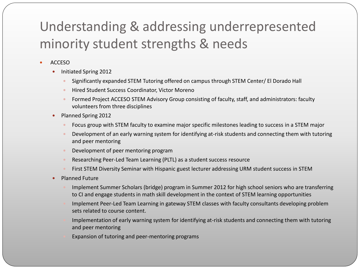- ACCESO
	- Initiated Spring 2012
		- Significantly expanded STEM Tutoring offered on campus through STEM Center/ El Dorado Hall
		- Hired Student Success Coordinator, Victor Moreno
		- Formed Project ACCESO STEM Advisory Group consisting of faculty, staff, and administrators: faculty volunteers from three disciplines
	- Planned Spring 2012
		- Focus group with STEM faculty to examine major specific milestones leading to success in a STEM major
		- Development of an early warning system for identifying at-risk students and connecting them with tutoring and peer mentoring
		- Development of peer mentoring program
		- Researching Peer-Led Team Learning (PLTL) as a student success resource
		- First STEM Diversity Seminar with Hispanic guest lecturer addressing URM student success in STEM
	- Planned Future
		- Implement Summer Scholars (bridge) program in Summer 2012 for high school seniors who are transferring to CI and engage students in math skill development in the context of STEM learning opportunities
		- Implement Peer-Led Team Learning in gateway STEM classes with faculty consultants developing problem sets related to course content.
		- Implementation of early warning system for identifying at-risk students and connecting them with tutoring and peer mentoring
		- Expansion of tutoring and peer-mentoring programs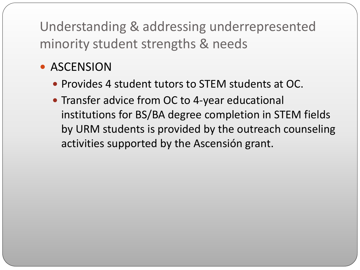### **• ASCENSION**

- Provides 4 student tutors to STEM students at OC.
- Transfer advice from OC to 4-year educational institutions for BS/BA degree completion in STEM fields by URM students is provided by the outreach counseling activities supported by the Ascensión grant.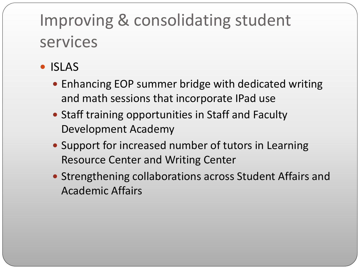- ISLAS
	- Enhancing EOP summer bridge with dedicated writing and math sessions that incorporate IPad use
	- Staff training opportunities in Staff and Faculty Development Academy
	- Support for increased number of tutors in Learning Resource Center and Writing Center
	- Strengthening collaborations across Student Affairs and Academic Affairs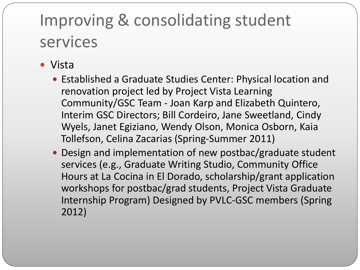- Vista
	- Established a Graduate Studies Center: Physical location and renovation project led by Project Vista Learning Community/GSC Team - Joan Karp and Elizabeth Quintero, Interim GSC Directors; Bill Cordeiro, Jane Sweetland, Cindy Wyels, Janet Egiziano, Wendy Olson, Monica Osborn, Kaia Tollefson, Celina Zacarias (Spring-Summer 2011)
	- Design and implementation of new postbac/graduate student services (e.g., Graduate Writing Studio, Community Office Hours at La Cocina in El Dorado, scholarship/grant application workshops for postbac/grad students, Project Vista Graduate Internship Program) Designed by PVLC-GSC members (Spring 2012)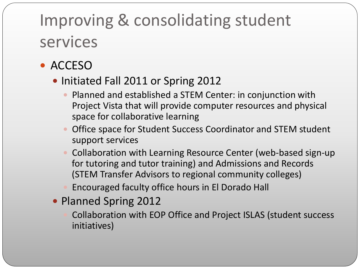- ACCESO
	- Initiated Fall 2011 or Spring 2012
		- Planned and established a STEM Center: in conjunction with Project Vista that will provide computer resources and physical space for collaborative learning
		- Office space for Student Success Coordinator and STEM student support services
		- Collaboration with Learning Resource Center (web-based sign-up for tutoring and tutor training) and Admissions and Records (STEM Transfer Advisors to regional community colleges)
		- Encouraged faculty office hours in El Dorado Hall
	- Planned Spring 2012
		- Collaboration with EOP Office and Project ISLAS (student success initiatives)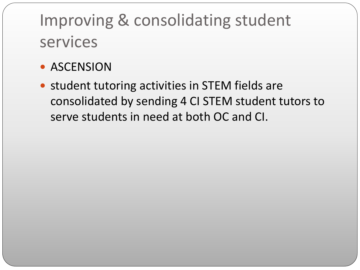- **ASCENSION**
- student tutoring activities in STEM fields are consolidated by sending 4 CI STEM student tutors to serve students in need at both OC and CI.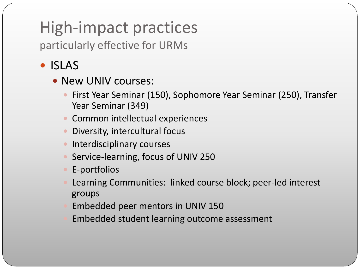particularly effective for URMs

### • ISLAS

- New UNIV courses:
	- First Year Seminar (150), Sophomore Year Seminar (250), Transfer Year Seminar (349)
	- Common intellectual experiences
	- Diversity, intercultural focus
	- **Interdisciplinary courses**
	- Service-learning, focus of UNIV 250
	- E-portfolios
	- Learning Communities: linked course block; peer-led interest groups
	- Embedded peer mentors in UNIV 150
	- Embedded student learning outcome assessment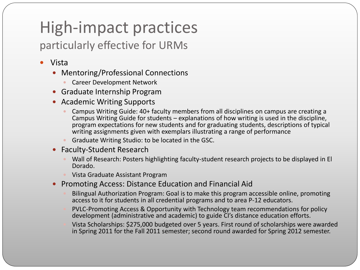### particularly effective for URMs

- Vista
	- Mentoring/Professional Connections
		- Career Development Network
	- Graduate Internship Program
	- Academic Writing Supports
		- Campus Writing Guide: 40+ faculty members from all disciplines on campus are creating a Campus Writing Guide for students – explanations of how writing is used in the discipline, program expectations for new students and for graduating students, descriptions of typical writing assignments given with exemplars illustrating a range of performance
		- Graduate Writing Studio: to be located in the GSC.
	- Faculty-Student Research
		- Wall of Research: Posters highlighting faculty-student research projects to be displayed in El Dorado.
		- Vista Graduate Assistant Program
	- Promoting Access: Distance Education and Financial Aid
		- Bilingual Authorization Program: Goal is to make this program accessible online, promoting access to it for students in all credential programs and to area P-12 educators.
		- PVLC-Promoting Access & Opportunity with Technology team recommendations for policy development (administrative and academic) to guide CI's distance education efforts.
		- Vista Scholarships: \$275,000 budgeted over 5 years. First round of scholarships were awarded in Spring 2011 for the Fall 2011 semester; second round awarded for Spring 2012 semester.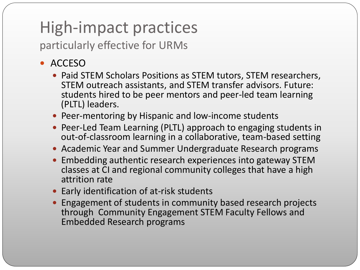particularly effective for URMs

### • ACCESO

- Paid STEM Scholars Positions as STEM tutors, STEM researchers, STEM outreach assistants, and STEM transfer advisors. Future: students hired to be peer mentors and peer-led team learning (PLTL) leaders.
- Peer-mentoring by Hispanic and low-income students
- Peer-Led Team Learning (PLTL) approach to engaging students in out-of-classroom learning in a collaborative, team-based setting
- Academic Year and Summer Undergraduate Research programs
- Embedding authentic research experiences into gateway STEM classes at CI and regional community colleges that have a high attrition rate
- Early identification of at-risk students
- Engagement of students in community based research projects through Community Engagement STEM Faculty Fellows and Embedded Research programs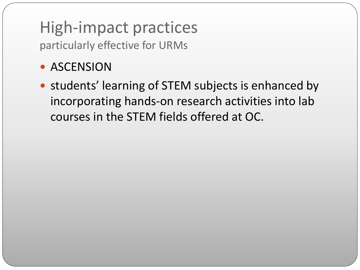particularly effective for URMs

### **• ASCENSION**

• students' learning of STEM subjects is enhanced by incorporating hands-on research activities into lab courses in the STEM fields offered at OC.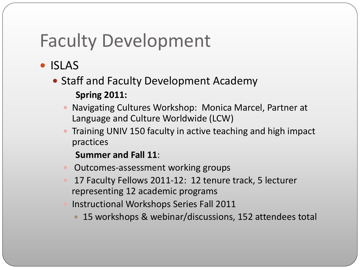- ISLAS
	- Staff and Faculty Development Academy **Spring 2011:**
		- Navigating Cultures Workshop: Monica Marcel, Partner at Language and Culture Worldwide (LCW)
		- Training UNIV 150 faculty in active teaching and high impact practices
			- **Summer and Fall 11**:
		- Outcomes-assessment working groups
		- 17 Faculty Fellows 2011-12: 12 tenure track, 5 lecturer representing 12 academic programs
		- Instructional Workshops Series Fall 2011
			- 15 workshops & webinar/discussions, 152 attendees total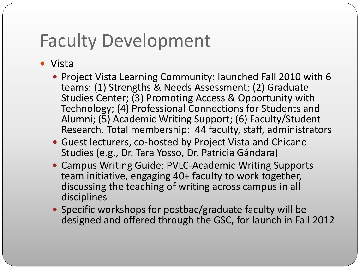- Vista
	- Project Vista Learning Community: launched Fall 2010 with 6 teams: (1) Strengths & Needs Assessment; (2) Graduate Studies Center; (3) Promoting Access & Opportunity with Technology; (4) Professional Connections for Students and Alumni; (5) Academic Writing Support; (6) Faculty/Student Research. Total membership: 44 faculty, staff, administrators
	- Guest lecturers, co-hosted by Project Vista and Chicano Studies (e.g., Dr. Tara Yosso, Dr. Patricia Gándara)
	- Campus Writing Guide: PVLC-Academic Writing Supports team initiative, engaging 40+ faculty to work together, discussing the teaching of writing across campus in all disciplines
	- Specific workshops for postbac/graduate faculty will be designed and offered through the GSC, for launch in Fall 2012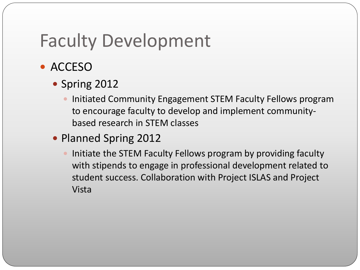- ACCESO
	- Spring 2012
		- Initiated Community Engagement STEM Faculty Fellows program to encourage faculty to develop and implement communitybased research in STEM classes
	- Planned Spring 2012
		- Initiate the STEM Faculty Fellows program by providing faculty with stipends to engage in professional development related to student success. Collaboration with Project ISLAS and Project Vista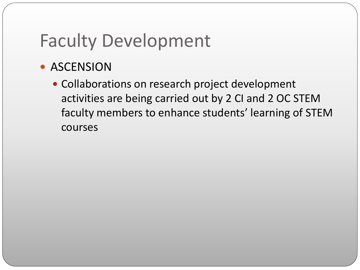### **• ASCENSION**

• Collaborations on research project development activities are being carried out by 2 CI and 2 OC STEM faculty members to enhance students' learning of STEM courses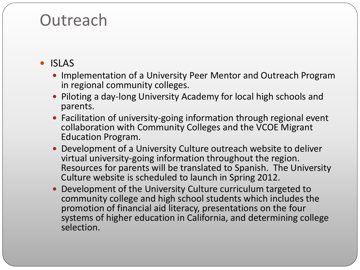### • ISLAS

- Implementation of a University Peer Mentor and Outreach Program in regional community colleges.
- Piloting a day-long University Academy for local high schools and parents.
- Facilitation of university-going information through regional event collaboration with Community Colleges and the VCOE Migrant Education Program.
- Development of a University Culture outreach website to deliver virtual university-going information throughout the region. Resources for parents will be translated to Spanish. The University Culture website is scheduled to launch in Spring 2012.
- Development of the University Culture curriculum targeted to community college and high school students which includes the promotion of financial aid literacy, presentations on the four systems of higher education in California, and determining college selection.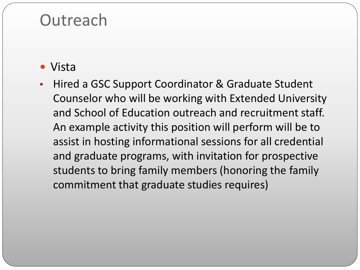- Vista
- Hired a GSC Support Coordinator & Graduate Student Counselor who will be working with Extended University and School of Education outreach and recruitment staff. An example activity this position will perform will be to assist in hosting informational sessions for all credential and graduate programs, with invitation for prospective students to bring family members (honoring the family commitment that graduate studies requires)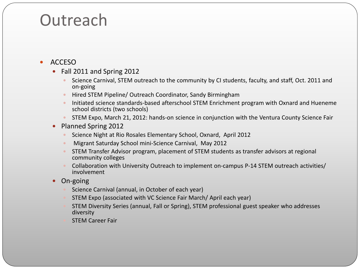#### ACCESO

- Fall 2011 and Spring 2012
	- Science Carnival, STEM outreach to the community by CI students, faculty, and staff, Oct. 2011 and on-going
	- Hired STEM Pipeline/ Outreach Coordinator, Sandy Birmingham
	- Initiated science standards-based afterschool STEM Enrichment program with Oxnard and Hueneme school districts (two schools)
	- STEM Expo, March 21, 2012: hands-on science in conjunction with the Ventura County Science Fair
- Planned Spring 2012
	- Science Night at Rio Rosales Elementary School, Oxnard, April 2012
	- Migrant Saturday School mini-Science Carnival, May 2012
	- STEM Transfer Advisor program, placement of STEM students as transfer advisors at regional community colleges
	- Collaboration with University Outreach to implement on-campus P-14 STEM outreach activities/ involvement
- On-going
	- Science Carnival (annual, in October of each year)
	- STEM Expo (associated with VC Science Fair March/ April each year)
	- STEM Diversity Series (annual, Fall or Spring), STEM professional guest speaker who addresses diversity
	- STEM Career Fair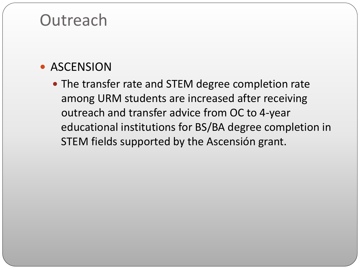### **• ASCENSION**

• The transfer rate and STEM degree completion rate among URM students are increased after receiving outreach and transfer advice from OC to 4-year educational institutions for BS/BA degree completion in STEM fields supported by the Ascensión grant.